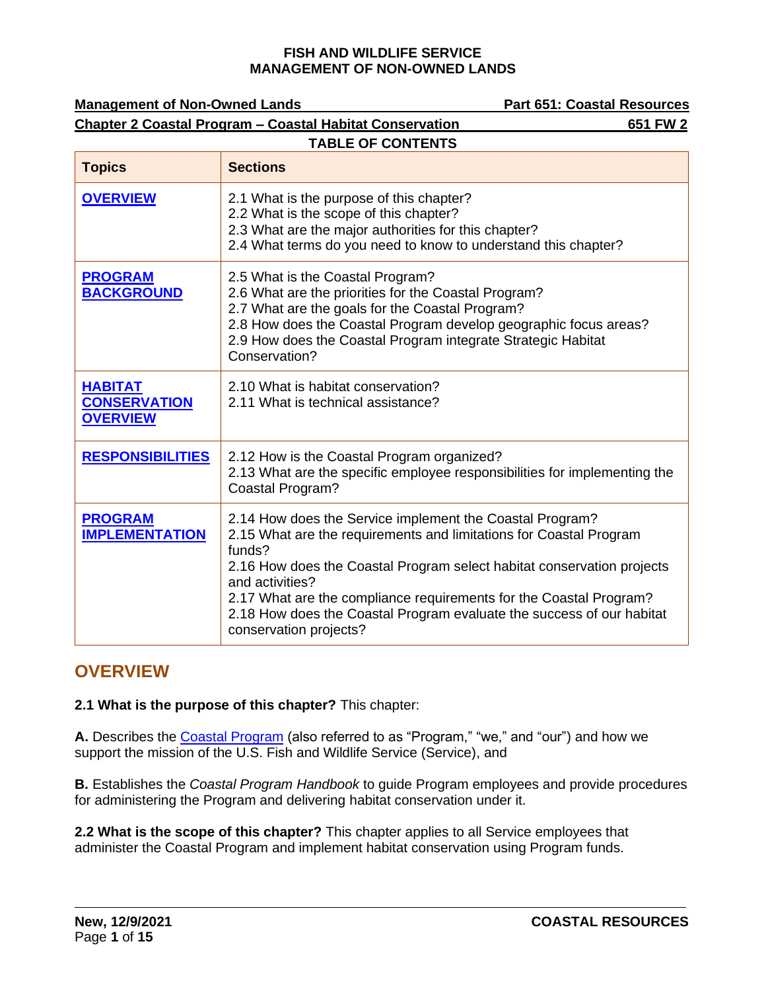| <b>Management of Non-Owned Lands</b>                     |                                                                                                                                                                                                                                                                                                                                                                                                                | <b>Part 651: Coastal Resources</b> |
|----------------------------------------------------------|----------------------------------------------------------------------------------------------------------------------------------------------------------------------------------------------------------------------------------------------------------------------------------------------------------------------------------------------------------------------------------------------------------------|------------------------------------|
|                                                          | <b>Chapter 2 Coastal Program - Coastal Habitat Conservation</b>                                                                                                                                                                                                                                                                                                                                                | 651 FW 2                           |
|                                                          | <b>TABLE OF CONTENTS</b>                                                                                                                                                                                                                                                                                                                                                                                       |                                    |
| <b>Topics</b>                                            | <b>Sections</b>                                                                                                                                                                                                                                                                                                                                                                                                |                                    |
| <b>OVERVIEW</b>                                          | 2.1 What is the purpose of this chapter?<br>2.2 What is the scope of this chapter?<br>2.3 What are the major authorities for this chapter?<br>2.4 What terms do you need to know to understand this chapter?                                                                                                                                                                                                   |                                    |
| <b>PROGRAM</b><br><b>BACKGROUND</b>                      | 2.5 What is the Coastal Program?<br>2.6 What are the priorities for the Coastal Program?<br>2.7 What are the goals for the Coastal Program?<br>2.8 How does the Coastal Program develop geographic focus areas?<br>2.9 How does the Coastal Program integrate Strategic Habitat<br>Conservation?                                                                                                               |                                    |
| <b>HABITAT</b><br><b>CONSERVATION</b><br><b>OVERVIEW</b> | 2.10 What is habitat conservation?<br>2.11 What is technical assistance?                                                                                                                                                                                                                                                                                                                                       |                                    |
| <b>RESPONSIBILITIES</b>                                  | 2.12 How is the Coastal Program organized?<br>2.13 What are the specific employee responsibilities for implementing the<br>Coastal Program?                                                                                                                                                                                                                                                                    |                                    |
| <b>PROGRAM</b><br><b>IMPLEMENTATION</b>                  | 2.14 How does the Service implement the Coastal Program?<br>2.15 What are the requirements and limitations for Coastal Program<br>funds?<br>2.16 How does the Coastal Program select habitat conservation projects<br>and activities?<br>2.17 What are the compliance requirements for the Coastal Program?<br>2.18 How does the Coastal Program evaluate the success of our habitat<br>conservation projects? |                                    |

## <span id="page-0-0"></span>**OVERVIEW**

**2.1 What is the purpose of this chapter?** This chapter:

**A.** Describes the [Coastal Program](https://www.fws.gov/coastal/) (also referred to as "Program," "we," and "our") and how we support the mission of the U.S. Fish and Wildlife Service (Service), and

**B.** Establishes the *Coastal Program Handbook* to guide Program employees and provide procedures for administering the Program and delivering habitat conservation under it.

**2.2 What is the scope of this chapter?** This chapter applies to all Service employees that administer the Coastal Program and implement habitat conservation using Program funds.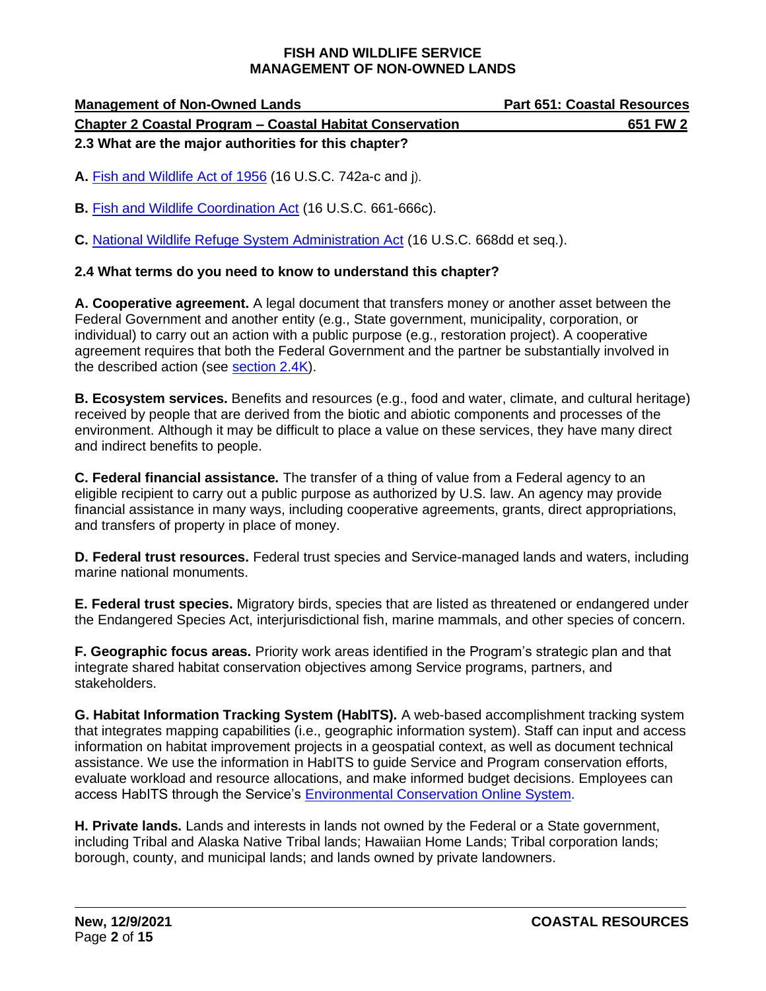| <b>Management of Non-Owned Lands</b>                            | <b>Part 651: Coastal Resources</b> |  |
|-----------------------------------------------------------------|------------------------------------|--|
| <b>Chapter 2 Coastal Program - Coastal Habitat Conservation</b> | 651 FW 2                           |  |
| 2.3 What are the major authorities for this chapter?            |                                    |  |

**A.** [Fish and Wildlife Act of 1956](https://www.govinfo.gov/app/details/USCODE-2018-title16/USCODE-2018-title16-chap9-sec742b/summary) (16 U.S.C. 742a-c and j).

**B.** [Fish and Wildlife Coordination Act](https://www.govinfo.gov/app/details/USCODE-2018-title16/USCODE-2018-title16-chap5A-subchapI-sec661) (16 U.S.C. 661-666c).

**C.** [National Wildlife Refuge System Administration Act](https://www.govinfo.gov/app/details/USCODE-2010-title16/USCODE-2010-title16-chap5A-subchapIII-sec668dd) (16 U.S.C. 668dd et seq.).

## **2.4 What terms do you need to know to understand this chapter?**

**A. Cooperative agreement.** A legal document that transfers money or another asset between the Federal Government and another entity (e.g., State government, municipality, corporation, or individual) to carry out an action with a public purpose (e.g., restoration project). A cooperative agreement requires that both the Federal Government and the partner be substantially involved in the described action (see [section 2.4K\)](#page-2-1).

**B. Ecosystem services.** Benefits and resources (e.g., food and water, climate, and cultural heritage) received by people that are derived from the biotic and abiotic components and processes of the environment. Although it may be difficult to place a value on these services, they have many direct and indirect benefits to people.

**C. Federal financial assistance.** The transfer of a thing of value from a Federal agency to an eligible recipient to carry out a public purpose as authorized by U.S. law. An agency may provide financial assistance in many ways, including cooperative agreements, grants, direct appropriations, and transfers of property in place of money.

**D. Federal trust resources.** Federal trust species and Service-managed lands and waters, including marine national monuments.

**E. Federal trust species.** Migratory birds, species that are listed as threatened or endangered under the Endangered Species Act, interjurisdictional fish, marine mammals, and other species of concern.

**F. Geographic focus areas.** Priority work areas identified in the Program's strategic plan and that integrate shared habitat conservation objectives among Service programs, partners, and stakeholders.

**G. Habitat Information Tracking System (HabITS).** A web-based accomplishment tracking system that integrates mapping capabilities (i.e., geographic information system). Staff can input and access information on habitat improvement projects in a geospatial context, as well as document technical assistance. We use the information in HabITS to guide Service and Program conservation efforts, evaluate workload and resource allocations, and make informed budget decisions. Employees can access HabITS through the Service's [Environmental Conservation Online System.](https://ecos.fws.gov/)

**H. Private lands.** Lands and interests in lands not owned by the Federal or a State government, including Tribal and Alaska Native Tribal lands; Hawaiian Home Lands; Tribal corporation lands; borough, county, and municipal lands; and lands owned by private landowners.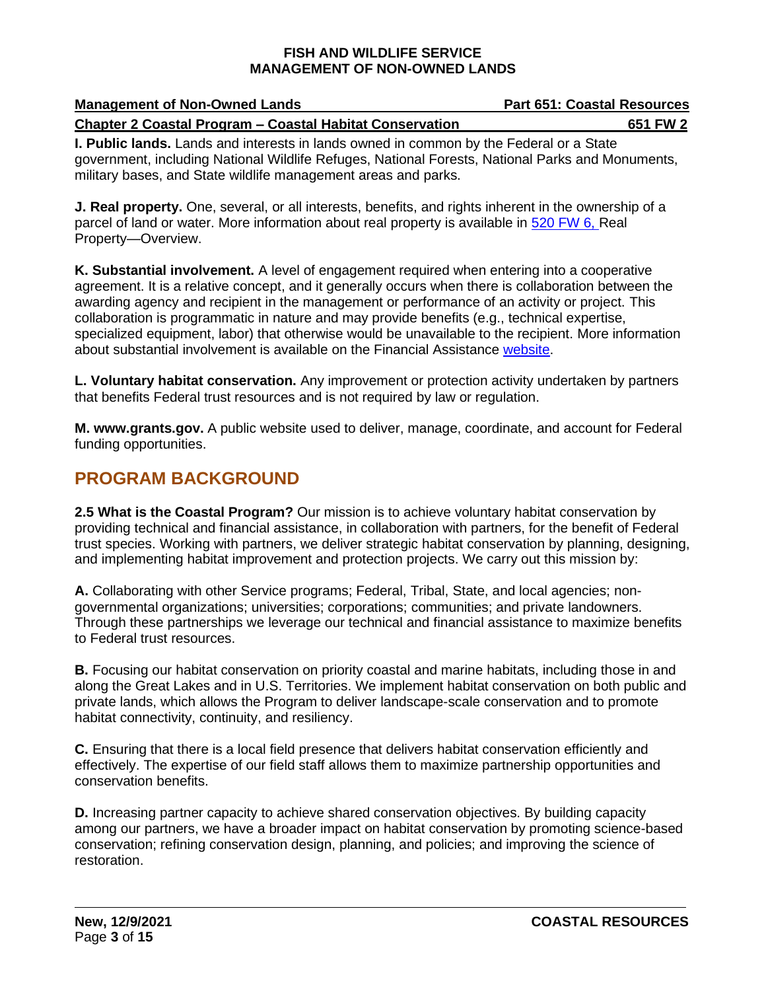| <b>Management of Non-Owned Lands</b>                                                           | <b>Part 651: Coastal Resources</b> |
|------------------------------------------------------------------------------------------------|------------------------------------|
| <b>Chapter 2 Coastal Program - Coastal Habitat Conservation</b>                                | 651 FW 2                           |
| <b>I. Public lands.</b> Lands and interests in lands owned in common by the Federal or a State |                                    |

government, including National Wildlife Refuges, National Forests, National Parks and Monuments, military bases, and State wildlife management areas and parks.

**J. Real property.** One, several, or all interests, benefits, and rights inherent in the ownership of a parcel of land or water. More information about real property is available in [520 FW 6,](https://www.fws.gov/policy/520fw6.html) Real Property—Overview.

<span id="page-2-1"></span>**K. Substantial involvement.** A level of engagement required when entering into a cooperative agreement. It is a relative concept, and it generally occurs when there is collaboration between the awarding agency and recipient in the management or performance of an activity or project. This collaboration is programmatic in nature and may provide benefits (e.g., technical expertise, specialized equipment, labor) that otherwise would be unavailable to the recipient. More information about substantial involvement is available on the Financial Assistance [website.](https://fawiki.fws.gov/display/WSFR/Substantial+Involvement)

**L. Voluntary habitat conservation.** Any improvement or protection activity undertaken by partners that benefits Federal trust resources and is not required by law or regulation.

**M. www.grants.gov.** A public website used to deliver, manage, coordinate, and account for Federal funding opportunities.

# <span id="page-2-0"></span>**PROGRAM BACKGROUND**

**2.5 What is the Coastal Program?** Our mission is to achieve voluntary habitat conservation by providing technical and financial assistance, in collaboration with partners, for the benefit of Federal trust species. Working with partners, we deliver strategic habitat conservation by planning, designing, and implementing habitat improvement and protection projects. We carry out this mission by:

**A.** Collaborating with other Service programs; Federal, Tribal, State, and local agencies; nongovernmental organizations; universities; corporations; communities; and private landowners. Through these partnerships we leverage our technical and financial assistance to maximize benefits to Federal trust resources.

**B.** Focusing our habitat conservation on priority coastal and marine habitats, including those in and along the Great Lakes and in U.S. Territories. We implement habitat conservation on both public and private lands, which allows the Program to deliver landscape-scale conservation and to promote habitat connectivity, continuity, and resiliency.

**C.** Ensuring that there is a local field presence that delivers habitat conservation efficiently and effectively. The expertise of our field staff allows them to maximize partnership opportunities and conservation benefits.

**D.** Increasing partner capacity to achieve shared conservation objectives. By building capacity among our partners, we have a broader impact on habitat conservation by promoting science-based conservation; refining conservation design, planning, and policies; and improving the science of restoration.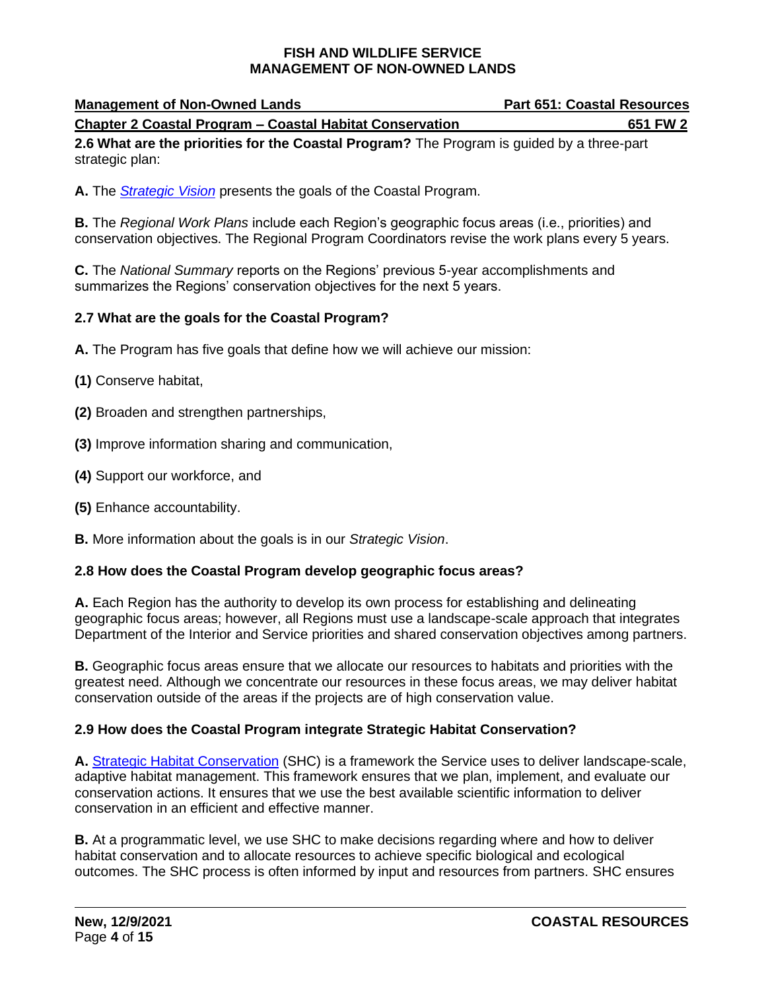| <b>Management of Non-Owned Lands</b>                            | <b>Part 651: Coastal Resources</b> |
|-----------------------------------------------------------------|------------------------------------|
| <b>Chapter 2 Coastal Program – Coastal Habitat Conservation</b> | 651 FW 2                           |

**2.6 What are the priorities for the Coastal Program?** The Program is guided by a three-part strategic plan:

**A.** The *[Strategic](https://www.fws.gov/coastal/) Vision* presents the goals of the Coastal Program.

**B.** The *Regional Work Plans* include each Region's geographic focus areas (i.e., priorities) and conservation objectives. The Regional Program Coordinators revise the work plans every 5 years.

**C.** The *National Summary* reports on the Regions' previous 5-year accomplishments and summarizes the Regions' conservation objectives for the next 5 years.

## **2.7 What are the goals for the Coastal Program?**

- **A.** The Program has five goals that define how we will achieve our mission:
- **(1)** Conserve habitat,
- **(2)** Broaden and strengthen partnerships,
- **(3)** Improve information sharing and communication,
- **(4)** Support our workforce, and
- **(5)** Enhance accountability.
- **B.** More information about the goals is in our *Strategic Vision*.

## **2.8 How does the Coastal Program develop geographic focus areas?**

**A.** Each Region has the authority to develop its own process for establishing and delineating geographic focus areas; however, all Regions must use a landscape-scale approach that integrates Department of the Interior and Service priorities and shared conservation objectives among partners.

**B.** Geographic focus areas ensure that we allocate our resources to habitats and priorities with the greatest need. Although we concentrate our resources in these focus areas, we may deliver habitat conservation outside of the areas if the projects are of high conservation value.

## **2.9 How does the Coastal Program integrate Strategic Habitat Conservation?**

**A.** [Strategic Habitat Conservation](https://www.fws.gov/landscape-conservation/) (SHC) is a framework the Service uses to deliver landscape-scale, adaptive habitat management. This framework ensures that we plan, implement, and evaluate our conservation actions. It ensures that we use the best available scientific information to deliver conservation in an efficient and effective manner.

**B.** At a programmatic level, we use SHC to make decisions regarding where and how to deliver habitat conservation and to allocate resources to achieve specific biological and ecological outcomes. The SHC process is often informed by input and resources from partners. SHC ensures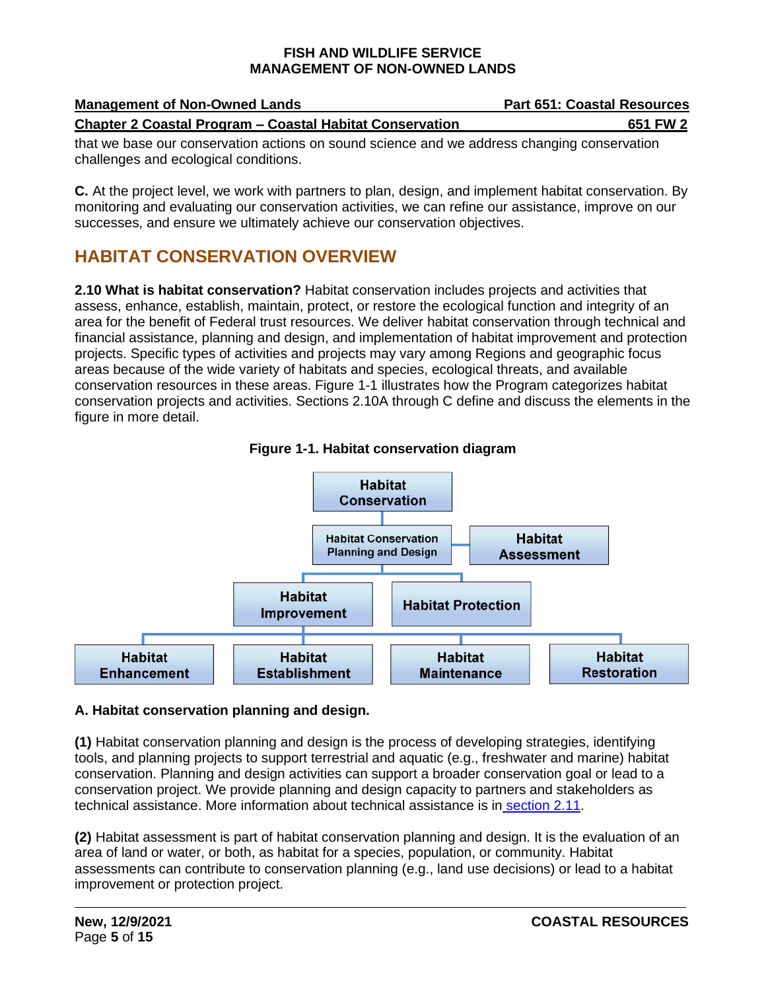| <b>Management of Non-Owned Lands</b>                                                               | <b>Part 651: Coastal Resources</b> |
|----------------------------------------------------------------------------------------------------|------------------------------------|
| <b>Chapter 2 Coastal Program - Coastal Habitat Conservation</b>                                    | 651 FW 2                           |
| alentario legge composizione del gedeno per come d'artere e quel me soldar condenada mengeneralen. |                                    |

that we base our conservation actions on sound science and we address changing conservation challenges and ecological conditions.

**C.** At the project level, we work with partners to plan, design, and implement habitat conservation. By monitoring and evaluating our conservation activities, we can refine our assistance, improve on our successes, and ensure we ultimately achieve our conservation objectives.

# <span id="page-4-0"></span>**HABITAT CONSERVATION OVERVIEW**

**2.10 What is habitat conservation?** Habitat conservation includes projects and activities that assess, enhance, establish, maintain, protect, or restore the ecological function and integrity of an area for the benefit of Federal trust resources. We deliver habitat conservation through technical and financial assistance, planning and design, and implementation of habitat improvement and protection projects. Specific types of activities and projects may vary among Regions and geographic focus areas because of the wide variety of habitats and species, ecological threats, and available conservation resources in these areas. Figure 1-1 illustrates how the Program categorizes habitat conservation projects and activities. Sections 2.10A through C define and discuss the elements in the figure in more detail.





## **A. Habitat conservation planning and design.**

**(1)** Habitat conservation planning and design is the process of developing strategies, identifying tools, and planning projects to support terrestrial and aquatic (e.g., freshwater and marine) habitat conservation. Planning and design activities can support a broader conservation goal or lead to a conservation project. We provide planning and design capacity to partners and stakeholders as technical assistance. More information about technical assistance is in [section 2.11.](#page-5-0)

**(2)** Habitat assessment is part of habitat conservation planning and design. It is the evaluation of an area of land or water, or both, as habitat for a species, population, or community. Habitat assessments can contribute to conservation planning (e.g., land use decisions) or lead to a habitat improvement or protection project.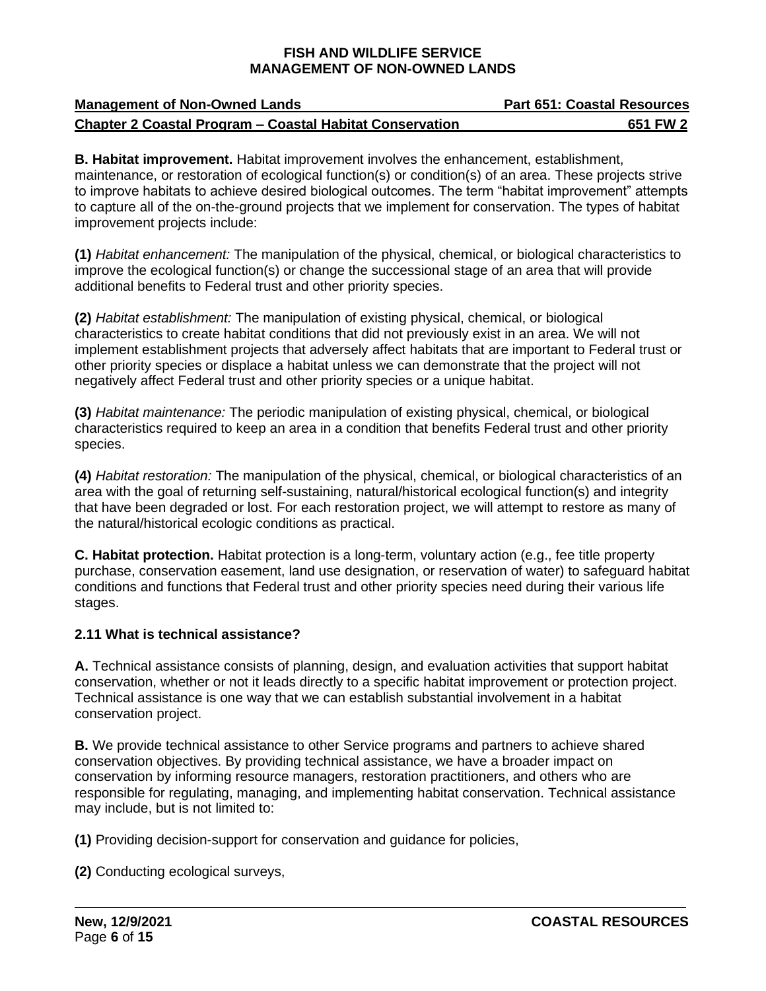| <b>Management of Non-Owned Lands</b>                            | <b>Part 651: Coastal Resources</b> |
|-----------------------------------------------------------------|------------------------------------|
| <b>Chapter 2 Coastal Program – Coastal Habitat Conservation</b> | 651 FW 2                           |

**B. Habitat improvement.** Habitat improvement involves the enhancement, establishment, maintenance, or restoration of ecological function(s) or condition(s) of an area. These projects strive to improve habitats to achieve desired biological outcomes. The term "habitat improvement" attempts to capture all of the on-the-ground projects that we implement for conservation. The types of habitat improvement projects include:

**(1)** *Habitat enhancement:* The manipulation of the physical, chemical, or biological characteristics to improve the ecological function(s) or change the successional stage of an area that will provide additional benefits to Federal trust and other priority species.

**(2)** *Habitat establishment:* The manipulation of existing physical, chemical, or biological characteristics to create habitat conditions that did not previously exist in an area. We will not implement establishment projects that adversely affect habitats that are important to Federal trust or other priority species or displace a habitat unless we can demonstrate that the project will not negatively affect Federal trust and other priority species or a unique habitat.

**(3)** *Habitat maintenance:* The periodic manipulation of existing physical, chemical, or biological characteristics required to keep an area in a condition that benefits Federal trust and other priority species.

**(4)** *Habitat restoration:* The manipulation of the physical, chemical, or biological characteristics of an area with the goal of returning self-sustaining, natural/historical ecological function(s) and integrity that have been degraded or lost. For each restoration project, we will attempt to restore as many of the natural/historical ecologic conditions as practical.

**C. Habitat protection.** Habitat protection is a long-term, voluntary action (e.g., fee title property purchase, conservation easement, land use designation, or reservation of water) to safeguard habitat conditions and functions that Federal trust and other priority species need during their various life stages.

## <span id="page-5-0"></span>**2.11 What is technical assistance?**

**A.** Technical assistance consists of planning, design, and evaluation activities that support habitat conservation, whether or not it leads directly to a specific habitat improvement or protection project. Technical assistance is one way that we can establish substantial involvement in a habitat conservation project.

**B.** We provide technical assistance to other Service programs and partners to achieve shared conservation objectives. By providing technical assistance, we have a broader impact on conservation by informing resource managers, restoration practitioners, and others who are responsible for regulating, managing, and implementing habitat conservation. Technical assistance may include, but is not limited to:

**(1)** Providing decision-support for conservation and guidance for policies,

**(2)** Conducting ecological surveys,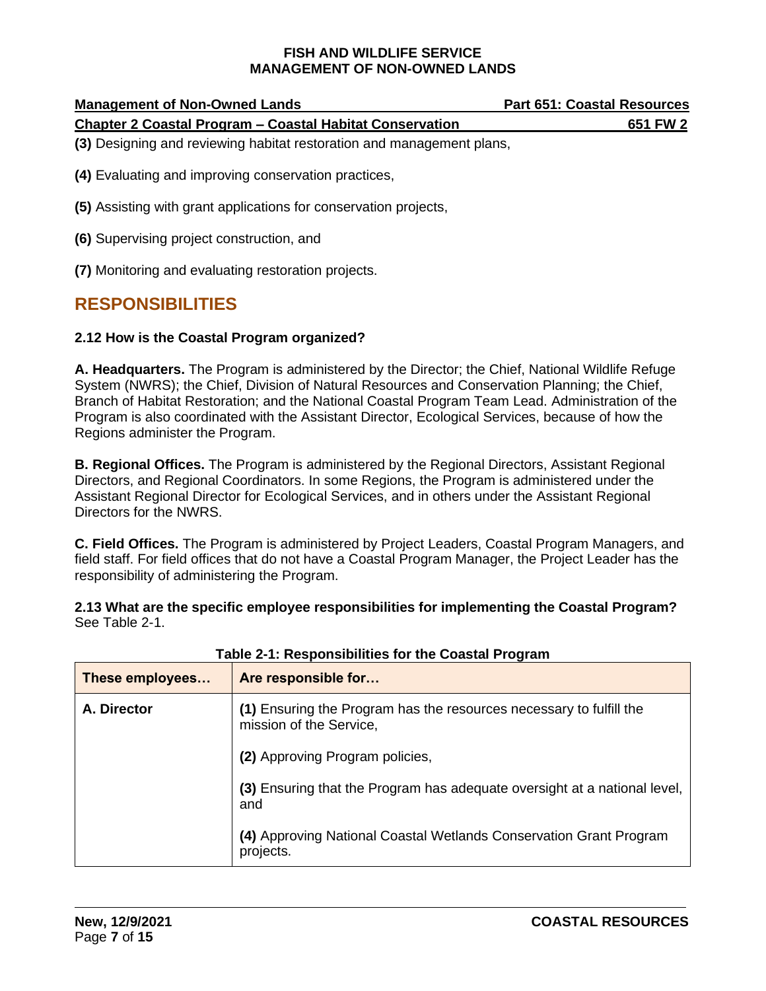| <b>Management of Non-Owned Lands</b>                            | <b>Part 651: Coastal Resources</b> |
|-----------------------------------------------------------------|------------------------------------|
| <b>Chapter 2 Coastal Program – Coastal Habitat Conservation</b> | 651 FW 2                           |
|                                                                 |                                    |

**(3)** Designing and reviewing habitat restoration and management plans,

**(4)** Evaluating and improving conservation practices,

**(5)** Assisting with grant applications for conservation projects,

**(6)** Supervising project construction, and

**(7)** Monitoring and evaluating restoration projects.

## <span id="page-6-0"></span>**RESPONSIBILITIES**

#### **2.12 How is the Coastal Program organized?**

**A. Headquarters.** The Program is administered by the Director; the Chief, National Wildlife Refuge System (NWRS); the Chief, Division of Natural Resources and Conservation Planning; the Chief, Branch of Habitat Restoration; and the National Coastal Program Team Lead. Administration of the Program is also coordinated with the Assistant Director, Ecological Services, because of how the Regions administer the Program.

**B. Regional Offices.** The Program is administered by the Regional Directors, Assistant Regional Directors, and Regional Coordinators. In some Regions, the Program is administered under the Assistant Regional Director for Ecological Services, and in others under the Assistant Regional Directors for the NWRS.

**C. Field Offices.** The Program is administered by Project Leaders, Coastal Program Managers, and field staff. For field offices that do not have a Coastal Program Manager, the Project Leader has the responsibility of administering the Program.

**2.13 What are the specific employee responsibilities for implementing the Coastal Program?**  See Table 2-1.

| These employees | Are responsible for                                                                            |
|-----------------|------------------------------------------------------------------------------------------------|
| A. Director     | (1) Ensuring the Program has the resources necessary to fulfill the<br>mission of the Service, |
|                 | (2) Approving Program policies,                                                                |
|                 | (3) Ensuring that the Program has adequate oversight at a national level,<br>and               |
|                 | (4) Approving National Coastal Wetlands Conservation Grant Program<br>projects.                |

**Table 2-1: Responsibilities for the Coastal Program**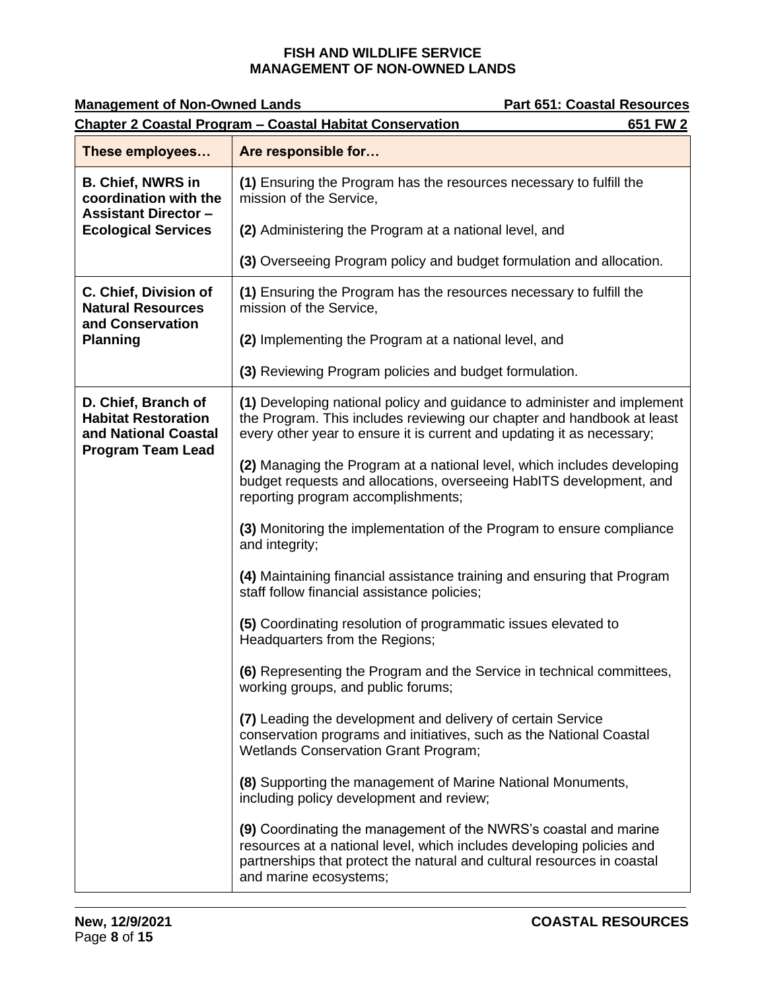| <b>Management of Non-Owned Lands</b>                                                                  | <b>Part 651: Coastal Resources</b>                                                                                                                                                                                                             |  |
|-------------------------------------------------------------------------------------------------------|------------------------------------------------------------------------------------------------------------------------------------------------------------------------------------------------------------------------------------------------|--|
| <b>Chapter 2 Coastal Program - Coastal Habitat Conservation</b><br>651 FW 2                           |                                                                                                                                                                                                                                                |  |
| These employees                                                                                       | Are responsible for                                                                                                                                                                                                                            |  |
| <b>B. Chief, NWRS in</b><br>coordination with the<br><b>Assistant Director-</b>                       | (1) Ensuring the Program has the resources necessary to fulfill the<br>mission of the Service,                                                                                                                                                 |  |
| <b>Ecological Services</b>                                                                            | (2) Administering the Program at a national level, and                                                                                                                                                                                         |  |
|                                                                                                       | (3) Overseeing Program policy and budget formulation and allocation.                                                                                                                                                                           |  |
| C. Chief, Division of<br><b>Natural Resources</b><br>and Conservation                                 | (1) Ensuring the Program has the resources necessary to fulfill the<br>mission of the Service,                                                                                                                                                 |  |
| <b>Planning</b>                                                                                       | (2) Implementing the Program at a national level, and                                                                                                                                                                                          |  |
|                                                                                                       | (3) Reviewing Program policies and budget formulation.                                                                                                                                                                                         |  |
| D. Chief, Branch of<br><b>Habitat Restoration</b><br>and National Coastal<br><b>Program Team Lead</b> | (1) Developing national policy and guidance to administer and implement<br>the Program. This includes reviewing our chapter and handbook at least<br>every other year to ensure it is current and updating it as necessary;                    |  |
|                                                                                                       | (2) Managing the Program at a national level, which includes developing<br>budget requests and allocations, overseeing HabITS development, and<br>reporting program accomplishments;                                                           |  |
|                                                                                                       | (3) Monitoring the implementation of the Program to ensure compliance<br>and integrity;                                                                                                                                                        |  |
|                                                                                                       | (4) Maintaining financial assistance training and ensuring that Program<br>staff follow financial assistance policies;                                                                                                                         |  |
|                                                                                                       | (5) Coordinating resolution of programmatic issues elevated to<br>Headquarters from the Regions;                                                                                                                                               |  |
|                                                                                                       | (6) Representing the Program and the Service in technical committees,<br>working groups, and public forums;                                                                                                                                    |  |
|                                                                                                       | (7) Leading the development and delivery of certain Service<br>conservation programs and initiatives, such as the National Coastal<br><b>Wetlands Conservation Grant Program;</b>                                                              |  |
|                                                                                                       | (8) Supporting the management of Marine National Monuments,<br>including policy development and review;                                                                                                                                        |  |
|                                                                                                       | (9) Coordinating the management of the NWRS's coastal and marine<br>resources at a national level, which includes developing policies and<br>partnerships that protect the natural and cultural resources in coastal<br>and marine ecosystems; |  |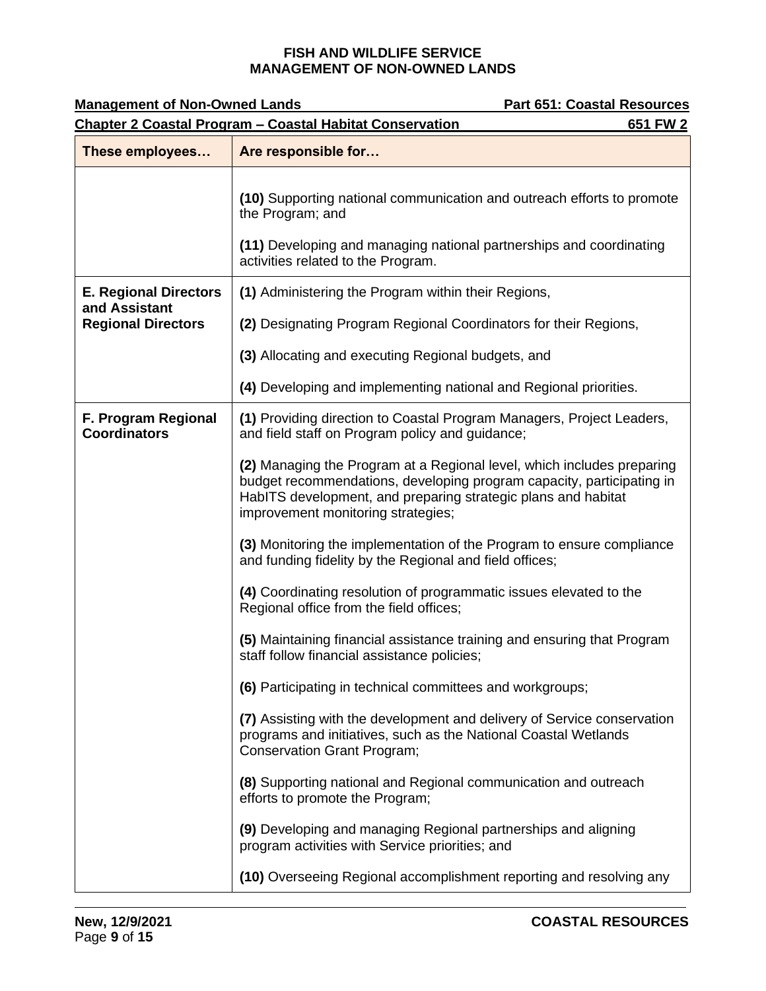| <b>Management of Non-Owned Lands</b>                                        | <b>Part 651: Coastal Resources</b>                                                                                                                                                                                                                     |  |
|-----------------------------------------------------------------------------|--------------------------------------------------------------------------------------------------------------------------------------------------------------------------------------------------------------------------------------------------------|--|
| <b>Chapter 2 Coastal Program - Coastal Habitat Conservation</b><br>651 FW 2 |                                                                                                                                                                                                                                                        |  |
| These employees                                                             | Are responsible for                                                                                                                                                                                                                                    |  |
|                                                                             | (10) Supporting national communication and outreach efforts to promote<br>the Program; and                                                                                                                                                             |  |
|                                                                             | (11) Developing and managing national partnerships and coordinating<br>activities related to the Program.                                                                                                                                              |  |
| <b>E. Regional Directors</b><br>and Assistant                               | (1) Administering the Program within their Regions,                                                                                                                                                                                                    |  |
| <b>Regional Directors</b>                                                   | (2) Designating Program Regional Coordinators for their Regions,                                                                                                                                                                                       |  |
|                                                                             | (3) Allocating and executing Regional budgets, and                                                                                                                                                                                                     |  |
|                                                                             | (4) Developing and implementing national and Regional priorities.                                                                                                                                                                                      |  |
| F. Program Regional<br><b>Coordinators</b>                                  | (1) Providing direction to Coastal Program Managers, Project Leaders,<br>and field staff on Program policy and guidance;                                                                                                                               |  |
|                                                                             | (2) Managing the Program at a Regional level, which includes preparing<br>budget recommendations, developing program capacity, participating in<br>HabITS development, and preparing strategic plans and habitat<br>improvement monitoring strategies; |  |
|                                                                             | (3) Monitoring the implementation of the Program to ensure compliance<br>and funding fidelity by the Regional and field offices;                                                                                                                       |  |
|                                                                             | (4) Coordinating resolution of programmatic issues elevated to the<br>Regional office from the field offices;                                                                                                                                          |  |
|                                                                             | (5) Maintaining financial assistance training and ensuring that Program<br>staff follow financial assistance policies;                                                                                                                                 |  |
|                                                                             | (6) Participating in technical committees and workgroups;                                                                                                                                                                                              |  |
|                                                                             | (7) Assisting with the development and delivery of Service conservation<br>programs and initiatives, such as the National Coastal Wetlands<br><b>Conservation Grant Program;</b>                                                                       |  |
|                                                                             | (8) Supporting national and Regional communication and outreach<br>efforts to promote the Program;                                                                                                                                                     |  |
|                                                                             | (9) Developing and managing Regional partnerships and aligning<br>program activities with Service priorities; and                                                                                                                                      |  |
|                                                                             | (10) Overseeing Regional accomplishment reporting and resolving any                                                                                                                                                                                    |  |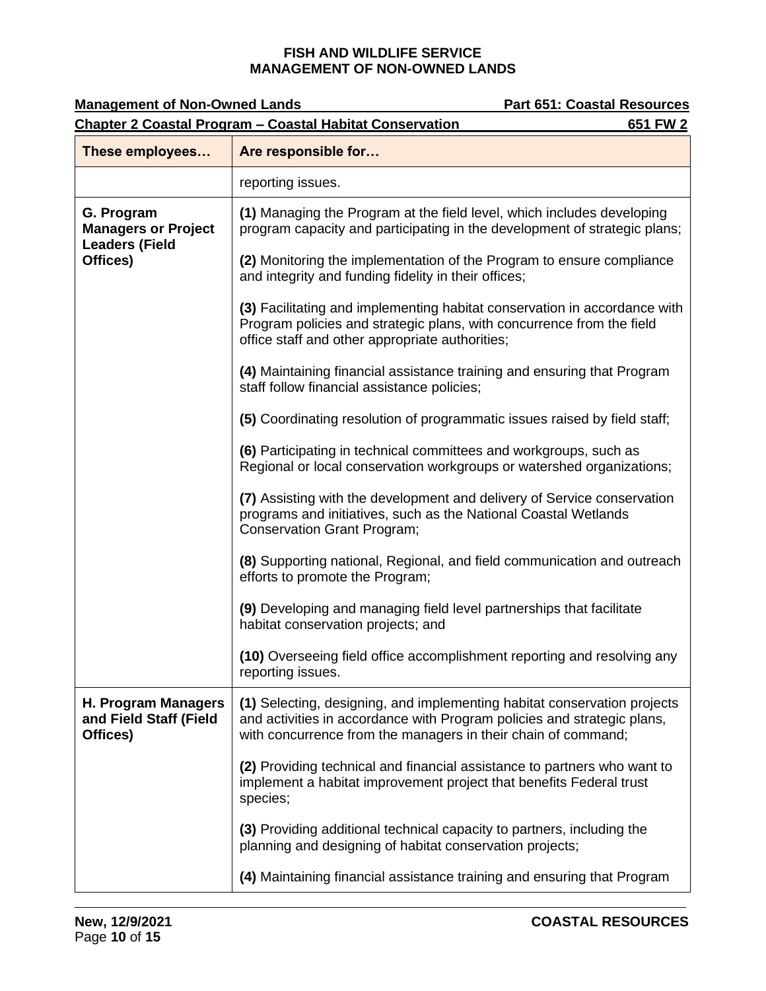| <b>Management of Non-Owned Lands</b>                                        | <b>Part 651: Coastal Resources</b>                                                                                                                                                                                   |  |
|-----------------------------------------------------------------------------|----------------------------------------------------------------------------------------------------------------------------------------------------------------------------------------------------------------------|--|
| <b>Chapter 2 Coastal Program - Coastal Habitat Conservation</b><br>651 FW 2 |                                                                                                                                                                                                                      |  |
| These employees                                                             | Are responsible for                                                                                                                                                                                                  |  |
|                                                                             | reporting issues.                                                                                                                                                                                                    |  |
| G. Program<br><b>Managers or Project</b><br><b>Leaders (Field</b>           | (1) Managing the Program at the field level, which includes developing<br>program capacity and participating in the development of strategic plans;                                                                  |  |
| Offices)                                                                    | (2) Monitoring the implementation of the Program to ensure compliance<br>and integrity and funding fidelity in their offices;                                                                                        |  |
|                                                                             | (3) Facilitating and implementing habitat conservation in accordance with<br>Program policies and strategic plans, with concurrence from the field<br>office staff and other appropriate authorities;                |  |
|                                                                             | (4) Maintaining financial assistance training and ensuring that Program<br>staff follow financial assistance policies;                                                                                               |  |
|                                                                             | (5) Coordinating resolution of programmatic issues raised by field staff;                                                                                                                                            |  |
|                                                                             | (6) Participating in technical committees and workgroups, such as<br>Regional or local conservation workgroups or watershed organizations;                                                                           |  |
|                                                                             | (7) Assisting with the development and delivery of Service conservation<br>programs and initiatives, such as the National Coastal Wetlands<br><b>Conservation Grant Program;</b>                                     |  |
|                                                                             | (8) Supporting national, Regional, and field communication and outreach<br>efforts to promote the Program;                                                                                                           |  |
|                                                                             | (9) Developing and managing field level partnerships that facilitate<br>habitat conservation projects; and                                                                                                           |  |
|                                                                             | (10) Overseeing field office accomplishment reporting and resolving any<br>reporting issues.                                                                                                                         |  |
| H. Program Managers<br>and Field Staff (Field<br>Offices)                   | (1) Selecting, designing, and implementing habitat conservation projects<br>and activities in accordance with Program policies and strategic plans,<br>with concurrence from the managers in their chain of command; |  |
|                                                                             | (2) Providing technical and financial assistance to partners who want to<br>implement a habitat improvement project that benefits Federal trust<br>species;                                                          |  |
|                                                                             | (3) Providing additional technical capacity to partners, including the<br>planning and designing of habitat conservation projects;                                                                                   |  |
|                                                                             | (4) Maintaining financial assistance training and ensuring that Program                                                                                                                                              |  |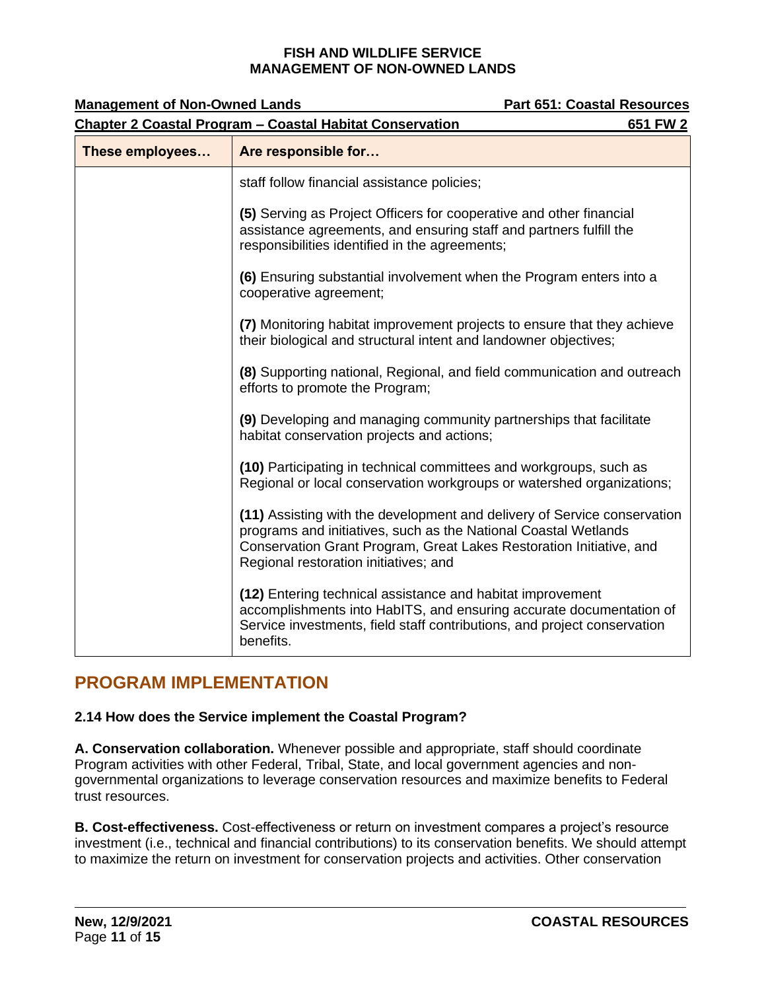| <b>Management of Non-Owned Lands</b> |                                                                                                                                                                                                                                                             | <b>Part 651: Coastal Resources</b> |
|--------------------------------------|-------------------------------------------------------------------------------------------------------------------------------------------------------------------------------------------------------------------------------------------------------------|------------------------------------|
|                                      | <b>Chapter 2 Coastal Program - Coastal Habitat Conservation</b>                                                                                                                                                                                             | 651 FW 2                           |
| These employees                      | Are responsible for                                                                                                                                                                                                                                         |                                    |
|                                      | staff follow financial assistance policies;                                                                                                                                                                                                                 |                                    |
|                                      | (5) Serving as Project Officers for cooperative and other financial<br>assistance agreements, and ensuring staff and partners fulfill the<br>responsibilities identified in the agreements;                                                                 |                                    |
|                                      | (6) Ensuring substantial involvement when the Program enters into a<br>cooperative agreement;                                                                                                                                                               |                                    |
|                                      | (7) Monitoring habitat improvement projects to ensure that they achieve<br>their biological and structural intent and landowner objectives;                                                                                                                 |                                    |
|                                      | (8) Supporting national, Regional, and field communication and outreach<br>efforts to promote the Program;                                                                                                                                                  |                                    |
|                                      | (9) Developing and managing community partnerships that facilitate<br>habitat conservation projects and actions;                                                                                                                                            |                                    |
|                                      | (10) Participating in technical committees and workgroups, such as<br>Regional or local conservation workgroups or watershed organizations;                                                                                                                 |                                    |
|                                      | (11) Assisting with the development and delivery of Service conservation<br>programs and initiatives, such as the National Coastal Wetlands<br>Conservation Grant Program, Great Lakes Restoration Initiative, and<br>Regional restoration initiatives; and |                                    |
|                                      | (12) Entering technical assistance and habitat improvement<br>accomplishments into HabITS, and ensuring accurate documentation of<br>Service investments, field staff contributions, and project conservation<br>benefits.                                  |                                    |

# <span id="page-10-0"></span>**PROGRAM IMPLEMENTATION**

## **2.14 How does the Service implement the Coastal Program?**

**A. Conservation collaboration.** Whenever possible and appropriate, staff should coordinate Program activities with other Federal, Tribal, State, and local government agencies and nongovernmental organizations to leverage conservation resources and maximize benefits to Federal trust resources.

**B. Cost-effectiveness.** Cost-effectiveness or return on investment compares a project's resource investment (i.e., technical and financial contributions) to its conservation benefits. We should attempt to maximize the return on investment for conservation projects and activities. Other conservation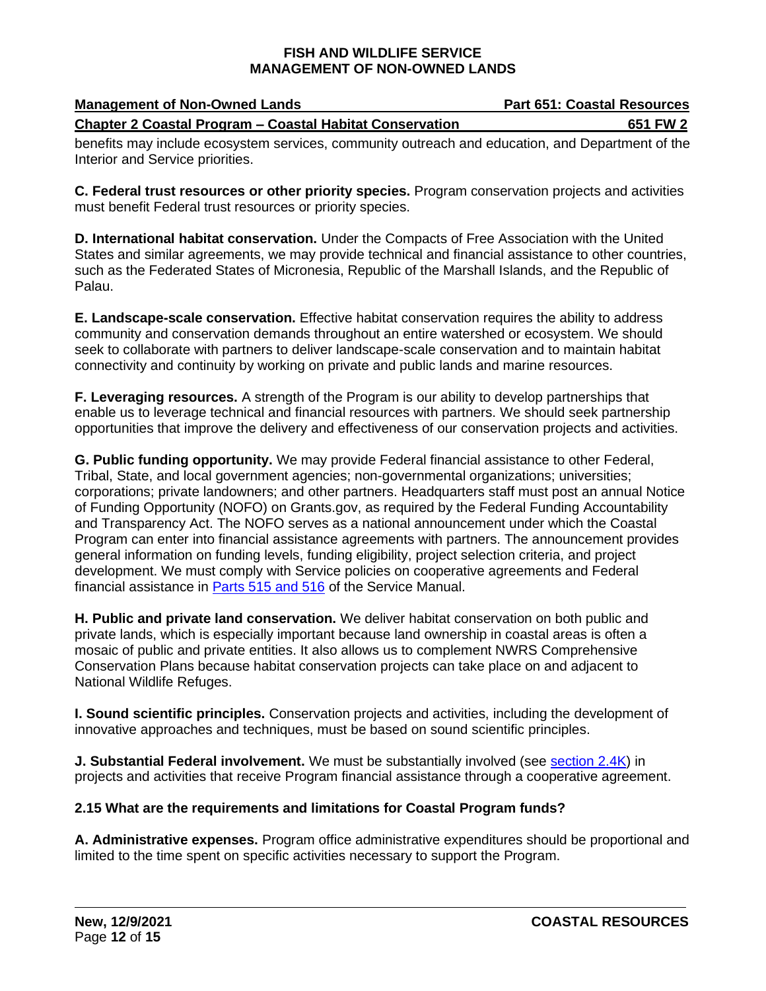| <b>Management of Non-Owned Lands</b>           |  |  |  |  |                                                                 |  |  |  |  |  | <b>Part 651: Coastal Resources</b> |  |  |  |  |  |  |          |
|------------------------------------------------|--|--|--|--|-----------------------------------------------------------------|--|--|--|--|--|------------------------------------|--|--|--|--|--|--|----------|
|                                                |  |  |  |  | <b>Chapter 2 Coastal Program – Coastal Habitat Conservation</b> |  |  |  |  |  |                                    |  |  |  |  |  |  | 651 FW 2 |
| $\mathbf{r}$ and $\mathbf{r}$ and $\mathbf{r}$ |  |  |  |  |                                                                 |  |  |  |  |  |                                    |  |  |  |  |  |  |          |

benefits may include ecosystem services, community outreach and education, and Department of the Interior and Service priorities.

**C. Federal trust resources or other priority species.** Program conservation projects and activities must benefit Federal trust resources or priority species.

**D. International habitat conservation.** Under the Compacts of Free Association with the United States and similar agreements, we may provide technical and financial assistance to other countries, such as the Federated States of Micronesia, Republic of the Marshall Islands, and the Republic of Palau.

**E. Landscape-scale conservation.** Effective habitat conservation requires the ability to address community and conservation demands throughout an entire watershed or ecosystem. We should seek to collaborate with partners to deliver landscape-scale conservation and to maintain habitat connectivity and continuity by working on private and public lands and marine resources.

**F. Leveraging resources.** A strength of the Program is our ability to develop partnerships that enable us to leverage technical and financial resources with partners. We should seek partnership opportunities that improve the delivery and effectiveness of our conservation projects and activities.

**G. Public funding opportunity.** We may provide Federal financial assistance to other Federal, Tribal, State, and local government agencies; non-governmental organizations; universities; corporations; private landowners; and other partners. Headquarters staff must post an annual Notice of Funding Opportunity (NOFO) on Grants.gov, as required by the Federal Funding Accountability and Transparency Act. The NOFO serves as a national announcement under which the Coastal Program can enter into financial assistance agreements with partners. The announcement provides general information on funding levels, funding eligibility, project selection criteria, and project development. We must comply with Service policies on cooperative agreements and Federal financial assistance in [Parts 515 and 516](https://www.fws.gov/policy/manuals/part.cfm?series=500&seriestitle=INTERAGENCY,%20INTERGOVERNMENTAL%20AND%20INTERNATIONAL%20ACTIVITIES,%20ENVIRONMENTAL%20QUALITY%20SERIES#515) of the Service Manual.

**H. Public and private land conservation.** We deliver habitat conservation on both public and private lands, which is especially important because land ownership in coastal areas is often a mosaic of public and private entities. It also allows us to complement NWRS Comprehensive Conservation Plans because habitat conservation projects can take place on and adjacent to National Wildlife Refuges.

**I. Sound scientific principles.** Conservation projects and activities, including the development of innovative approaches and techniques, must be based on sound scientific principles.

**J. Substantial Federal involvement.** We must be substantially involved (see [section 2.4K\)](#page-2-1) in projects and activities that receive Program financial assistance through a cooperative agreement.

## **2.15 What are the requirements and limitations for Coastal Program funds?**

**A. Administrative expenses.** Program office administrative expenditures should be proportional and limited to the time spent on specific activities necessary to support the Program.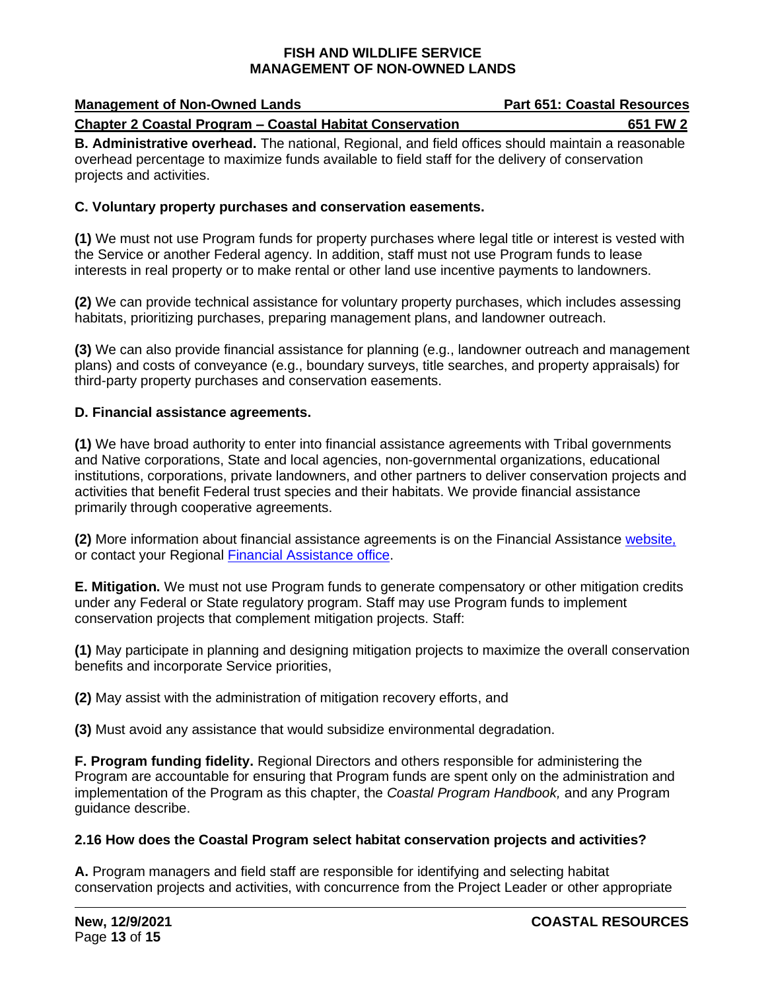| <b>Management of Non-Owned Lands</b>                            | <b>Part 651: Coastal Resources</b> |
|-----------------------------------------------------------------|------------------------------------|
| <b>Chapter 2 Coastal Program – Coastal Habitat Conservation</b> | 651 FW 2                           |

**B. Administrative overhead.** The national, Regional, and field offices should maintain a reasonable overhead percentage to maximize funds available to field staff for the delivery of conservation projects and activities.

## **C. Voluntary property purchases and conservation easements.**

**(1)** We must not use Program funds for property purchases where legal title or interest is vested with the Service or another Federal agency. In addition, staff must not use Program funds to lease interests in real property or to make rental or other land use incentive payments to landowners.

**(2)** We can provide technical assistance for voluntary property purchases, which includes assessing habitats, prioritizing purchases, preparing management plans, and landowner outreach.

**(3)** We can also provide financial assistance for planning (e.g., landowner outreach and management plans) and costs of conveyance (e.g., boundary surveys, title searches, and property appraisals) for third-party property purchases and conservation easements.

## **D. Financial assistance agreements.**

**(1)** We have broad authority to enter into financial assistance agreements with Tribal governments and Native corporations, State and local agencies, non-governmental organizations, educational institutions, corporations, private landowners, and other partners to deliver conservation projects and activities that benefit Federal trust species and their habitats. We provide financial assistance primarily through cooperative agreements.

**(2)** More information about financial assistance agreements is on the Financial Assistance [website,](https://www.fws.gov/grants/) or contact your Regional [Financial Assistance office.](https://www.fws.gov/wsfrprograms/Subpages/ContactUs/ContactUs.htm)

**E. Mitigation.** We must not use Program funds to generate compensatory or other mitigation credits under any Federal or State regulatory program. Staff may use Program funds to implement conservation projects that complement mitigation projects. Staff:

**(1)** May participate in planning and designing mitigation projects to maximize the overall conservation benefits and incorporate Service priorities,

**(2)** May assist with the administration of mitigation recovery efforts, and

**(3)** Must avoid any assistance that would subsidize environmental degradation.

**F. Program funding fidelity.** Regional Directors and others responsible for administering the Program are accountable for ensuring that Program funds are spent only on the administration and implementation of the Program as this chapter, the *Coastal Program Handbook,* and any Program guidance describe.

## **2.16 How does the Coastal Program select habitat conservation projects and activities?**

**A.** Program managers and field staff are responsible for identifying and selecting habitat conservation projects and activities, with concurrence from the Project Leader or other appropriate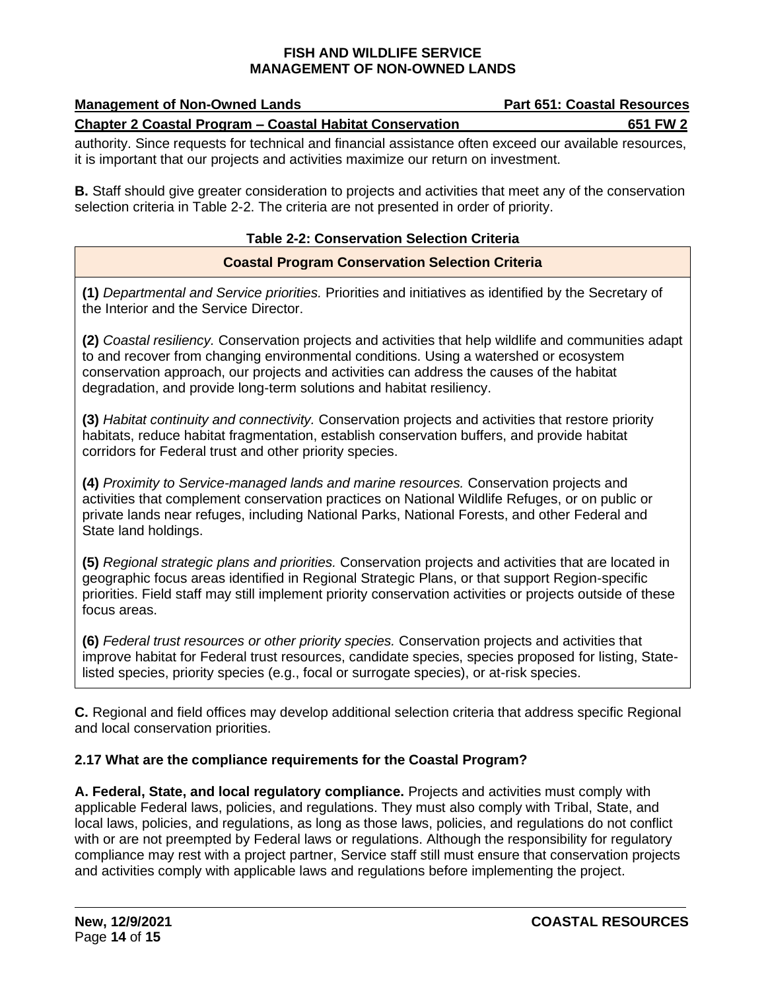| <b>Management of Non-Owned Lands</b>                            | <b>Part 651: Coastal Resources</b> |
|-----------------------------------------------------------------|------------------------------------|
| <b>Chapter 2 Coastal Program - Coastal Habitat Conservation</b> | 651 FW 2                           |

authority. Since requests for technical and financial assistance often exceed our available resources, it is important that our projects and activities maximize our return on investment.

**B.** Staff should give greater consideration to projects and activities that meet any of the conservation selection criteria in Table 2-2. The criteria are not presented in order of priority.

## **Table 2-2: Conservation Selection Criteria**

## **Coastal Program Conservation Selection Criteria**

**(1)** *Departmental and Service priorities.* Priorities and initiatives as identified by the Secretary of the Interior and the Service Director.

**(2)** *Coastal resiliency.* Conservation projects and activities that help wildlife and communities adapt to and recover from changing environmental conditions. Using a watershed or ecosystem conservation approach, our projects and activities can address the causes of the habitat degradation, and provide long-term solutions and habitat resiliency.

**(3)** *Habitat continuity and connectivity.* Conservation projects and activities that restore priority habitats, reduce habitat fragmentation, establish conservation buffers, and provide habitat corridors for Federal trust and other priority species.

**(4)** *Proximity to Service-managed lands and marine resources.* Conservation projects and activities that complement conservation practices on National Wildlife Refuges, or on public or private lands near refuges, including National Parks, National Forests, and other Federal and State land holdings.

**(5)** *Regional strategic plans and priorities.* Conservation projects and activities that are located in geographic focus areas identified in Regional Strategic Plans, or that support Region-specific priorities. Field staff may still implement priority conservation activities or projects outside of these focus areas.

**(6)** *Federal trust resources or other priority species.* Conservation projects and activities that improve habitat for Federal trust resources, candidate species, species proposed for listing, Statelisted species, priority species (e.g., focal or surrogate species), or at-risk species.

**C.** Regional and field offices may develop additional selection criteria that address specific Regional and local conservation priorities.

## **2.17 What are the compliance requirements for the Coastal Program?**

**A. Federal, State, and local regulatory compliance.** Projects and activities must comply with applicable Federal laws, policies, and regulations. They must also comply with Tribal, State, and local laws, policies, and regulations, as long as those laws, policies, and regulations do not conflict with or are not preempted by Federal laws or regulations. Although the responsibility for regulatory compliance may rest with a project partner, Service staff still must ensure that conservation projects and activities comply with applicable laws and regulations before implementing the project.